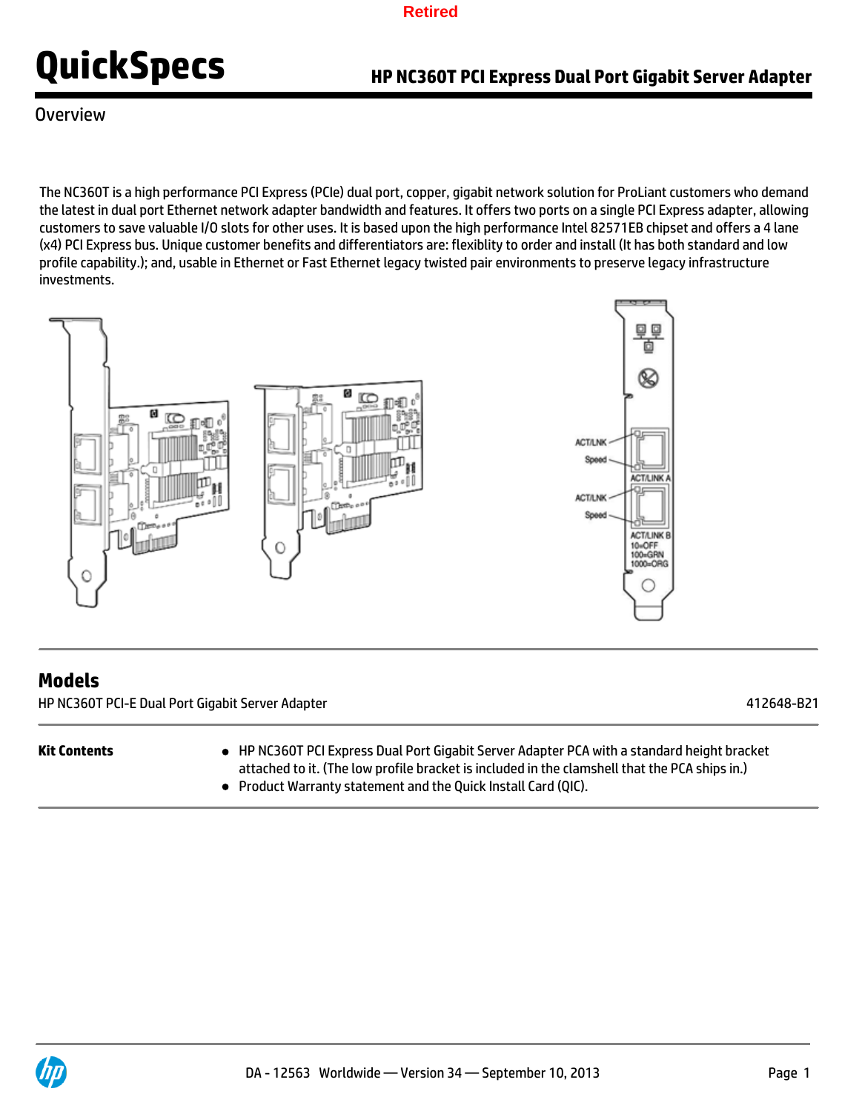

Overview

The NC360T is a high performance PCI Express (PCIe) dual port, copper, gigabit network solution for ProLiant customers who demand the latest in dual port Ethernet network adapter bandwidth and features. It offers two ports on a single PCI Express adapter, allowing customers to save valuable I/O slots for other uses. It is based upon the high performance Intel 82571EB chipset and offers a 4 lane (x4) PCI Express bus. Unique customer benefits and differentiators are: flexiblity to order and install (It has both standard and low profile capability.); and, usable in Ethernet or Fast Ethernet legacy twisted pair environments to preserve legacy infrastructure investments.



## **Models**

HP NC360T PCI-E Dual Port Gigabit Server Adapter 412648-B21

- **Kit Contents** HP NC360T PCI Express Dual Port Gigabit Server Adapter PCA with a standard height bracket attached to it. (The low profile bracket is included in the clamshell that the PCA ships in.)
	- Product Warranty statement and the Quick Install Card (QIC).

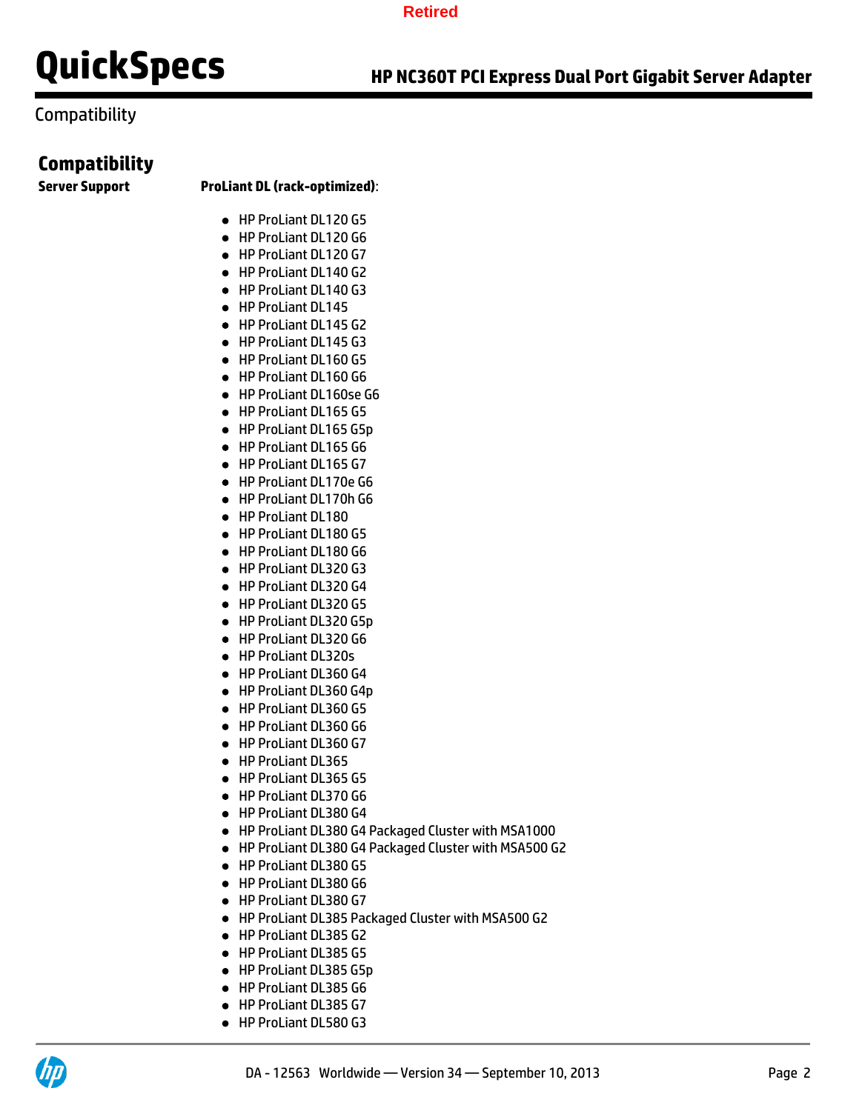## Compatibility

## **Compatibility**

### **Server Support ProLiant DL (rack-optimized)**:

- HP ProLiant DL120 G5
- HP ProLiant DL120 G6
- HP ProLiant DL120 G7
- HP ProLiant DL140 G2
- HP ProLiant DL140 G3
- HP ProLiant DL145
- HP ProLiant DL145 G2
- HP ProLiant DL145 G3
- HP ProLiant DL160 G5
- HP ProLiant DL160 G6
- HP ProLiant DL160se G6
- HP ProLiant DL165 G5
- HP ProLiant DL165 G5p
- HP ProLiant DL165 G6
- HP ProLiant DL165 G7
- HP ProLiant DL170e G6
- HP ProLiant DL170h G6
- HP ProLiant DL180
- HP ProLiant DL180 G5
- HP ProLiant DL180 G6
- HP ProLiant DL320 G3
- HP ProLiant DL320 G4
- HP ProLiant DL320 G5
- HP ProLiant DL320 G5p
- HP ProLiant DL320 G6
- HP ProLiant DL320s
- HP ProLiant DL360 G4
- HP ProLiant DL360 G4p
- HP ProLiant DL360 G5
- HP ProLiant DL360 G6
- HP ProLiant DL360 G7
- HP ProLiant DL365
- HP ProLiant DL365 G5
- HP ProLiant DL370 G6
- HP ProLiant DL380 G4
- HP ProLiant DL380 G4 Packaged Cluster with MSA1000
- HP ProLiant DL380 G4 Packaged Cluster with MSA500 G2
- HP ProLiant DL380 G5
- HP ProLiant DL380 G6
- HP ProLiant DL380 G7
- HP ProLiant DL385 Packaged Cluster with MSA500 G2
- HP ProLiant DL385 G2
- HP ProLiant DL385 G5
- HP ProLiant DL385 G5p
- HP ProLiant DL385 G6
- HP ProLiant DL385 G7
- HP ProLiant DL580 G3

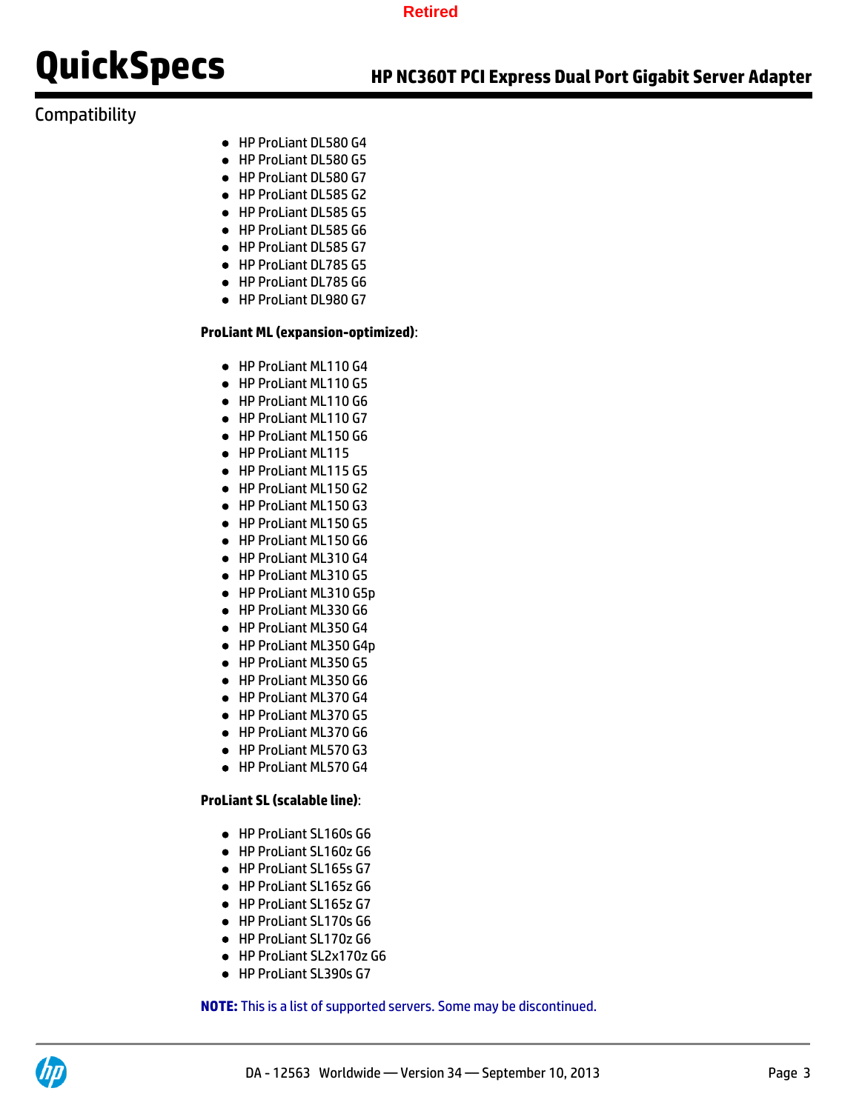# **Compatibility**

- HP ProLiant DL580 G4
- HP ProLiant DL580 G5
- HP ProLiant DL580 G7
- HP ProLiant DL585 G2
- HP ProLiant DL585 G5
- HP ProLiant DL585 G6
- HP ProLiant DL585 G7
- HP ProLiant DL785 G5
- HP ProLiant DL785 G6
- HP ProLiant DL980 G7

### **ProLiant ML (expansion-optimized)**:

- HP ProLiant ML110 G4
- HP ProLiant ML110 G5
- HP ProLiant ML110 G6
- HP ProLiant ML110 G7
- HP ProLiant ML150 G6
- HP ProLiant ML115
- HP ProLiant ML115 G5
- HP ProLiant ML150 G2
- HP ProLiant ML150 G3
- HP ProLiant ML150 G5
- HP ProLiant ML150 G6
- HP ProLiant ML310 G4
- HP ProLiant ML310 G5
- HP ProLiant ML310 G5p
- HP ProLiant ML330 G6
- HP ProLiant ML350 G4
- HP ProLiant ML350 G4p
- HP ProLiant ML350 G5
- HP ProLiant ML350 G6
- HP ProLiant ML370 G4
- HP ProLiant ML370 G5
- HP ProLiant ML370 G6
- HP ProLiant ML570 G3
- HP ProLiant ML570 G4

### **ProLiant SL (scalable line)**:

- HP ProLiant SL160s G6
- HP ProLiant SL160z G6
- HP ProLiant SL165s G7
- HP ProLiant SL165z G6
- HP ProLiant SL165z G7
- HP ProLiant SL170s G6
- HP ProLiant SL170z G6
- HP ProLiant SL2x170z G6
- HP ProLiant SL390s G7

**NOTE:** This is a list of supported servers. Some may be discontinued.

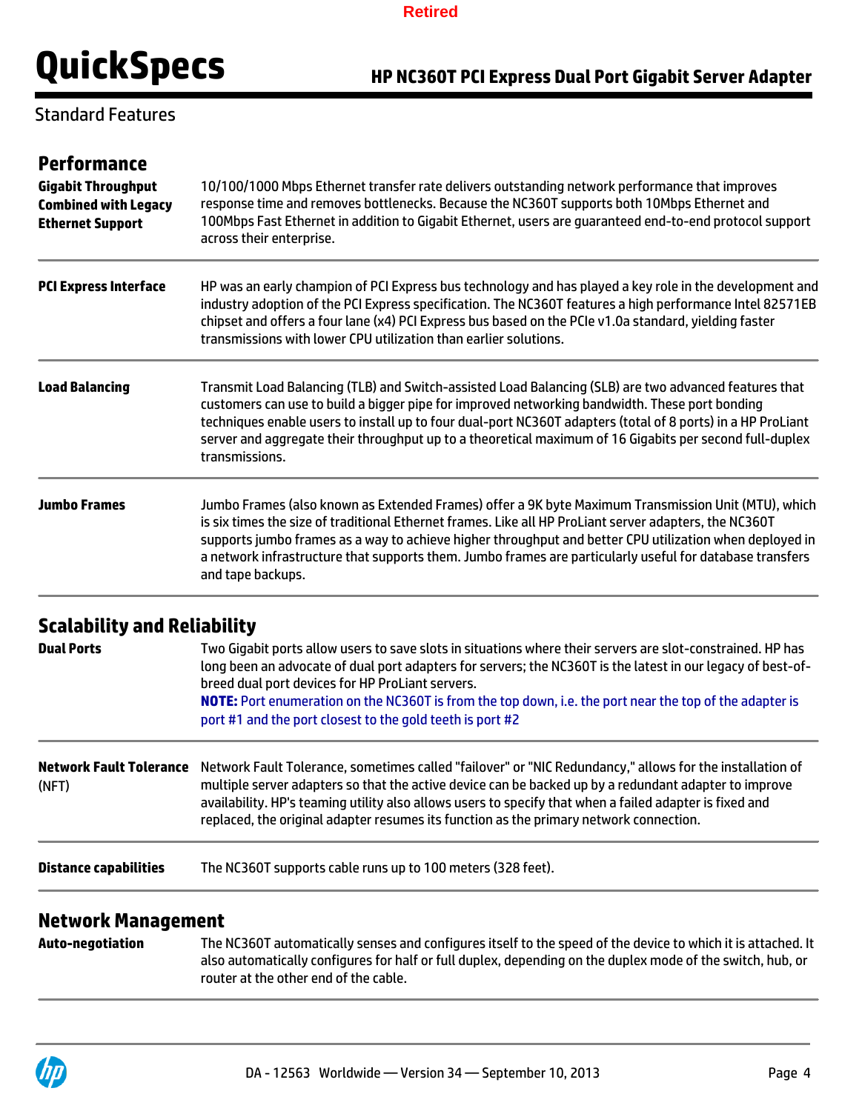

## Standard Features

| <b>Performance</b><br><b>Gigabit Throughput</b><br><b>Combined with Legacy</b> | 10/100/1000 Mbps Ethernet transfer rate delivers outstanding network performance that improves<br>response time and removes bottlenecks. Because the NC360T supports both 10Mbps Ethernet and<br>100Mbps Fast Ethernet in addition to Gigabit Ethernet, users are guaranteed end-to-end protocol support<br>across their enterprise.                                                                                                                      |  |  |
|--------------------------------------------------------------------------------|-----------------------------------------------------------------------------------------------------------------------------------------------------------------------------------------------------------------------------------------------------------------------------------------------------------------------------------------------------------------------------------------------------------------------------------------------------------|--|--|
| <b>Ethernet Support</b>                                                        |                                                                                                                                                                                                                                                                                                                                                                                                                                                           |  |  |
| <b>PCI Express Interface</b>                                                   | HP was an early champion of PCI Express bus technology and has played a key role in the development and<br>industry adoption of the PCI Express specification. The NC360T features a high performance Intel 82571EB<br>chipset and offers a four lane (x4) PCI Express bus based on the PCIe v1.0a standard, yielding faster<br>transmissions with lower CPU utilization than earlier solutions.                                                          |  |  |
| <b>Load Balancing</b>                                                          | Transmit Load Balancing (TLB) and Switch-assisted Load Balancing (SLB) are two advanced features that<br>customers can use to build a bigger pipe for improved networking bandwidth. These port bonding<br>techniques enable users to install up to four dual-port NC360T adapters (total of 8 ports) in a HP ProLiant<br>server and aggregate their throughput up to a theoretical maximum of 16 Gigabits per second full-duplex<br>transmissions.       |  |  |
| <b>Jumbo Frames</b>                                                            | Jumbo Frames (also known as Extended Frames) offer a 9K byte Maximum Transmission Unit (MTU), which<br>is six times the size of traditional Ethernet frames. Like all HP ProLiant server adapters, the NC360T<br>supports jumbo frames as a way to achieve higher throughput and better CPU utilization when deployed in<br>a network infrastructure that supports them. Jumbo frames are particularly useful for database transfers<br>and tape backups. |  |  |

# **Scalability and Reliability**

| <b>Dual Ports</b>                       | Two Gigabit ports allow users to save slots in situations where their servers are slot-constrained. HP has<br>long been an advocate of dual port adapters for servers; the NC360T is the latest in our legacy of best-of-<br>breed dual port devices for HP ProLiant servers.<br>NOTE: Port enumeration on the NC360T is from the top down, i.e. the port near the top of the adapter is<br>port #1 and the port closest to the gold teeth is port #2 |  |
|-----------------------------------------|-------------------------------------------------------------------------------------------------------------------------------------------------------------------------------------------------------------------------------------------------------------------------------------------------------------------------------------------------------------------------------------------------------------------------------------------------------|--|
| <b>Network Fault Tolerance</b><br>(NFT) | Network Fault Tolerance, sometimes called "failover" or "NIC Redundancy," allows for the installation of<br>multiple server adapters so that the active device can be backed up by a redundant adapter to improve<br>availability. HP's teaming utility also allows users to specify that when a failed adapter is fixed and<br>replaced, the original adapter resumes its function as the primary network connection.                                |  |
| <b>Distance capabilities</b>            | The NC360T supports cable runs up to 100 meters (328 feet).                                                                                                                                                                                                                                                                                                                                                                                           |  |
|                                         |                                                                                                                                                                                                                                                                                                                                                                                                                                                       |  |

## **Network Management**

**Auto-negotiation** The NC360T automatically senses and configures itself to the speed of the device to which it is attached. It also automatically configures for half or full duplex, depending on the duplex mode of the switch, hub, or router at the other end of the cable.

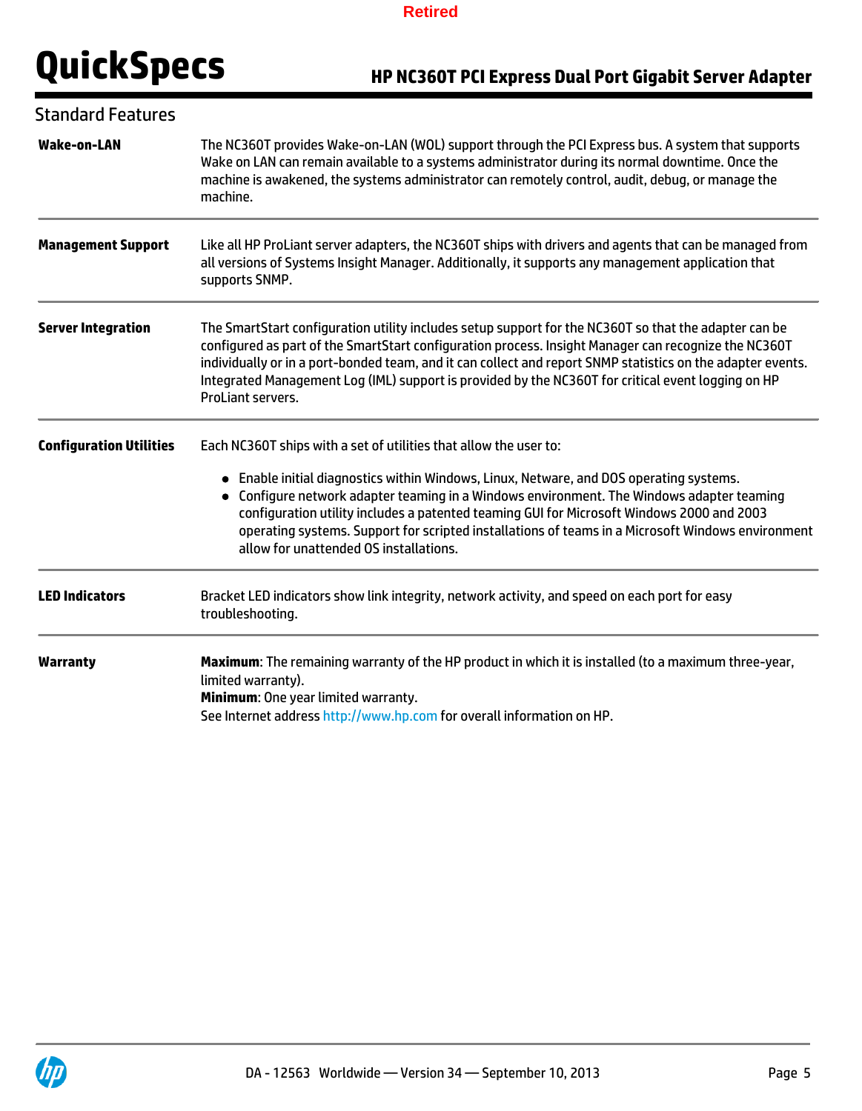# **QuickSpecs HP NC360T PCI Express Dual Port Gigabit Server Adapter**

| <b>Standard Features</b>       |                                                                                                                                                                                                                                                                                                                                                                                                                                                                                                     |  |  |
|--------------------------------|-----------------------------------------------------------------------------------------------------------------------------------------------------------------------------------------------------------------------------------------------------------------------------------------------------------------------------------------------------------------------------------------------------------------------------------------------------------------------------------------------------|--|--|
| <b>Wake-on-LAN</b>             | The NC360T provides Wake-on-LAN (WOL) support through the PCI Express bus. A system that supports<br>Wake on LAN can remain available to a systems administrator during its normal downtime. Once the<br>machine is awakened, the systems administrator can remotely control, audit, debug, or manage the<br>machine.                                                                                                                                                                               |  |  |
| <b>Management Support</b>      | Like all HP ProLiant server adapters, the NC360T ships with drivers and agents that can be managed from<br>all versions of Systems Insight Manager. Additionally, it supports any management application that<br>supports SNMP.                                                                                                                                                                                                                                                                     |  |  |
| <b>Server Integration</b>      | The SmartStart configuration utility includes setup support for the NC360T so that the adapter can be<br>configured as part of the SmartStart configuration process. Insight Manager can recognize the NC360T<br>individually or in a port-bonded team, and it can collect and report SNMP statistics on the adapter events.<br>Integrated Management Log (IML) support is provided by the NC360T for critical event logging on HP<br>ProLiant servers.                                             |  |  |
| <b>Configuration Utilities</b> | Each NC360T ships with a set of utilities that allow the user to:<br>• Enable initial diagnostics within Windows, Linux, Netware, and DOS operating systems.<br>Configure network adapter teaming in a Windows environment. The Windows adapter teaming<br>configuration utility includes a patented teaming GUI for Microsoft Windows 2000 and 2003<br>operating systems. Support for scripted installations of teams in a Microsoft Windows environment<br>allow for unattended OS installations. |  |  |
| <b>LED Indicators</b>          | Bracket LED indicators show link integrity, network activity, and speed on each port for easy<br>troubleshooting.                                                                                                                                                                                                                                                                                                                                                                                   |  |  |
| <b>Warranty</b>                | Maximum: The remaining warranty of the HP product in which it is installed (to a maximum three-year,<br>limited warranty).<br>Minimum: One year limited warranty.<br>See Internet address http://www.hp.com for overall information on HP.                                                                                                                                                                                                                                                          |  |  |

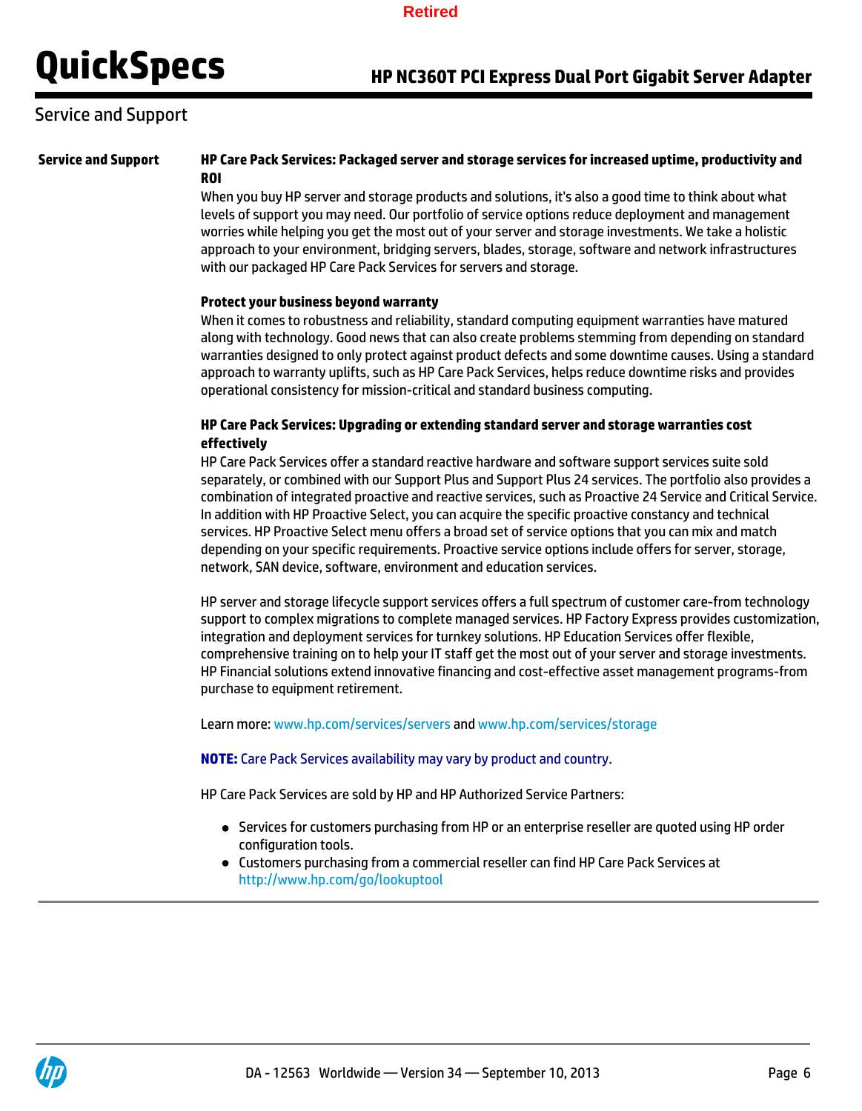## Service and Support

### **Service and Support HP Care Pack Services: Packaged server and storage services for increased uptime, productivity and ROI**

When you buy HP server and storage products and solutions, it's also a good time to think about what levels of support you may need. Our portfolio of service options reduce deployment and management worries while helping you get the most out of your server and storage investments. We take a holistic approach to your environment, bridging servers, blades, storage, software and network infrastructures with our packaged HP Care Pack Services for servers and storage.

### **Protect your business beyond warranty**

When it comes to robustness and reliability, standard computing equipment warranties have matured along with technology. Good news that can also create problems stemming from depending on standard warranties designed to only protect against product defects and some downtime causes. Using a standard approach to warranty uplifts, such as HP Care Pack Services, helps reduce downtime risks and provides operational consistency for mission-critical and standard business computing.

### **HP Care Pack Services: Upgrading or extending standard server and storage warranties cost effectively**

HP Care Pack Services offer a standard reactive hardware and software support services suite sold separately, or combined with our Support Plus and Support Plus 24 services. The portfolio also provides a combination of integrated proactive and reactive services, such as Proactive 24 Service and Critical Service. In addition with HP Proactive Select, you can acquire the specific proactive constancy and technical services. HP Proactive Select menu offers a broad set of service options that you can mix and match depending on your specific requirements. Proactive service options include offers for server, storage, network, SAN device, software, environment and education services.

HP server and storage lifecycle support services offers a full spectrum of customer care-from technology support to complex migrations to complete managed services. HP Factory Express provides customization, integration and deployment services for turnkey solutions. HP Education Services offer flexible, comprehensive training on to help your IT staff get the most out of your server and storage investments. HP Financial solutions extend innovative financing and cost-effective asset management programs-from purchase to equipment retirement.

Learn more: www.hp.com/services/servers and www.hp.com/services/storage

#### **NOTE:** Care Pack Services availability may vary by product and country.

HP Care Pack Services are sold by HP and HP Authorized Service Partners:

- Services for customers purchasing from HP or an enterprise reseller are quoted using HP order configuration tools.
- Customers purchasing from a commercial reseller can find HP Care Pack Services at http://www.hp.com/go/lookuptool

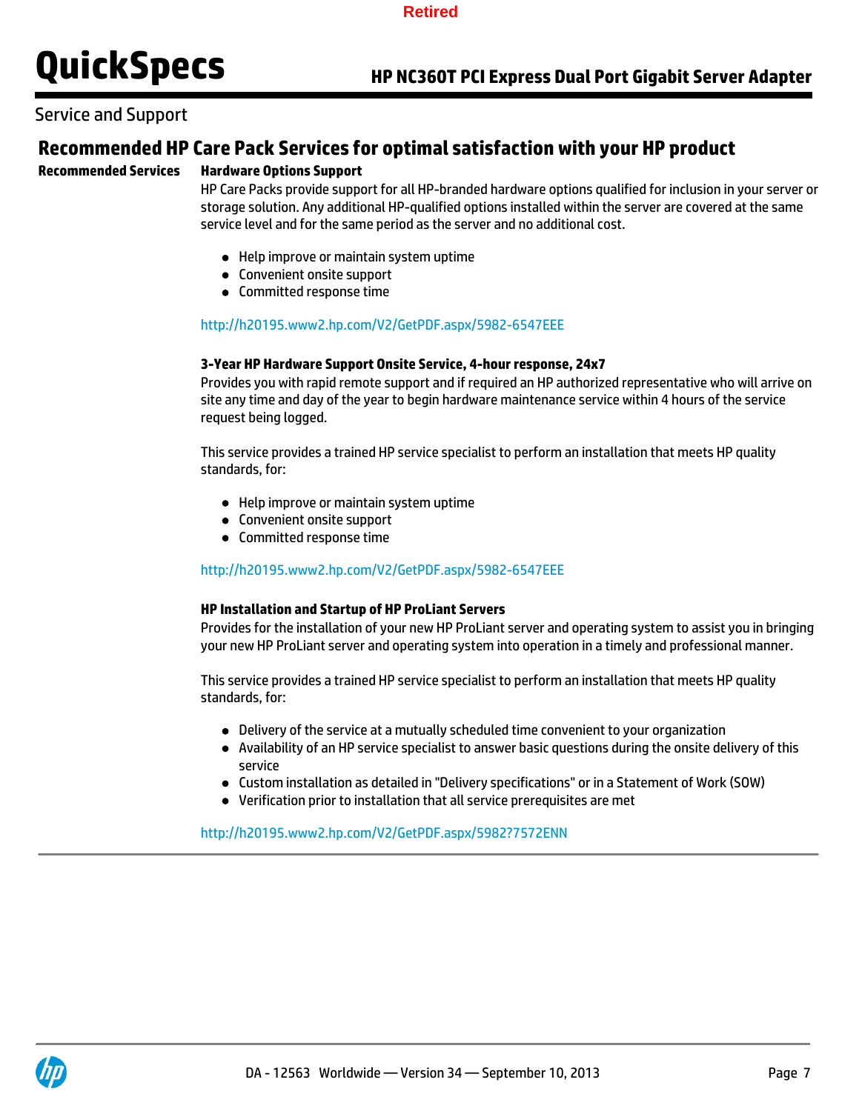

## Service and Support

## **Recommended HP Care Pack Services for optimal satisfaction with your HP product**

### **Recommended Services Hardware Options Support**

HP Care Packs provide support for all HP-branded hardware options qualified for inclusion in your server or storage solution. Any additional HP-qualified options installed within the server are covered at the same service level and for the same period as the server and no additional cost.

- Help improve or maintain system uptime
- Convenient onsite support
- Committed response time

### http://h20195.www2.hp.com/V2/GetPDF.aspx/5982-6547EEE

#### **3-Year HP Hardware Support Onsite Service, 4-hour response, 24x7**

Provides you with rapid remote support and if required an HP authorized representative who will arrive on site any time and day of the year to begin hardware maintenance service within 4 hours of the service request being logged.

This service provides a trained HP service specialist to perform an installation that meets HP quality standards, for:

- Help improve or maintain system uptime
- Convenient onsite support
- Committed response time

#### http://h20195.www2.hp.com/V2/GetPDF.aspx/5982-6547EEE

#### **HP Installation and Startup of HP ProLiant Servers**

Provides for the installation of your new HP ProLiant server and operating system to assist you in bringing your new HP ProLiant server and operating system into operation in a timely and professional manner.

This service provides a trained HP service specialist to perform an installation that meets HP quality standards, for:

- Delivery of the service at a mutually scheduled time convenient to your organization
- Availability of an HP service specialist to answer basic questions during the onsite delivery of this service
- Custom installation as detailed in "Delivery specifications" or in a Statement of Work (SOW)
- Verification prior to installation that all service prerequisites are met

http://h20195.www2.hp.com/V2/GetPDF.aspx/5982?7572ENN

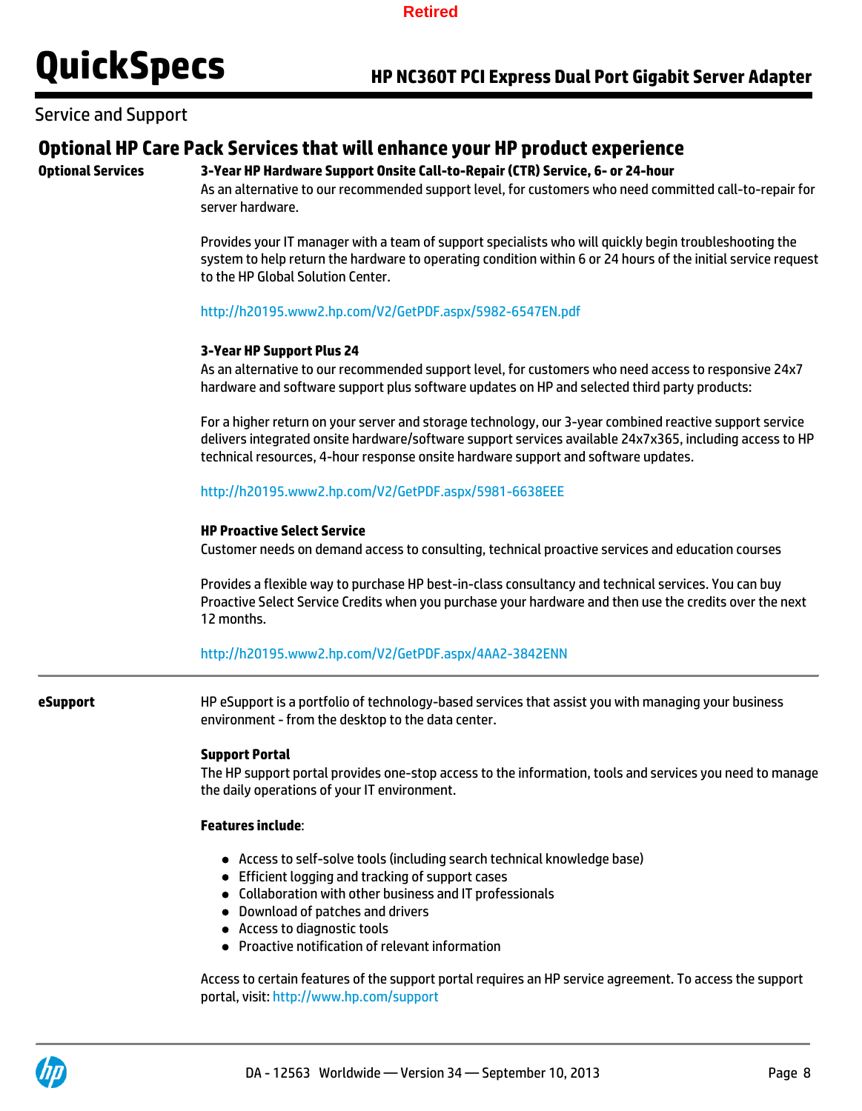Service and Support

# **Optional HP Care Pack Services that will enhance your HP product experience**

# **Optional Services 3-Year HP Hardware Support Onsite Call-to-Repair (CTR) Service, 6- or 24-hour**

As an alternative to our recommended support level, for customers who need committed call-to-repair for server hardware.

Provides your IT manager with a team of support specialists who will quickly begin troubleshooting the system to help return the hardware to operating condition within 6 or 24 hours of the initial service request to the HP Global Solution Center.

### http://h20195.www2.hp.com/V2/GetPDF.aspx/5982-6547EN.pdf

### **3-Year HP Support Plus 24**

As an alternative to our recommended support level, for customers who need access to responsive 24x7 hardware and software support plus software updates on HP and selected third party products:

For a higher return on your server and storage technology, our 3-year combined reactive support service delivers integrated onsite hardware/software support services available 24x7x365, including access to HP technical resources, 4-hour response onsite hardware support and software updates.

### http://h20195.www2.hp.com/V2/GetPDF.aspx/5981-6638EEE

### **HP Proactive Select Service**

Customer needs on demand access to consulting, technical proactive services and education courses

Provides a flexible way to purchase HP best-in-class consultancy and technical services. You can buy Proactive Select Service Credits when you purchase your hardware and then use the credits over the next 12 months.

http://h20195.www2.hp.com/V2/GetPDF.aspx/4AA2-3842ENN

**eSupport** HP eSupport is a portfolio of technology-based services that assist you with managing your business environment - from the desktop to the data center.

### **Support Portal**

The HP support portal provides one-stop access to the information, tools and services you need to manage the daily operations of your IT environment.

#### **Features include**:

- Access to self-solve tools (including search technical knowledge base)
- Efficient logging and tracking of support cases
- Collaboration with other business and IT professionals
- Download of patches and drivers
- Access to diagnostic tools
- Proactive notification of relevant information

Access to certain features of the support portal requires an HP service agreement. To access the support portal, visit: http://www.hp.com/support

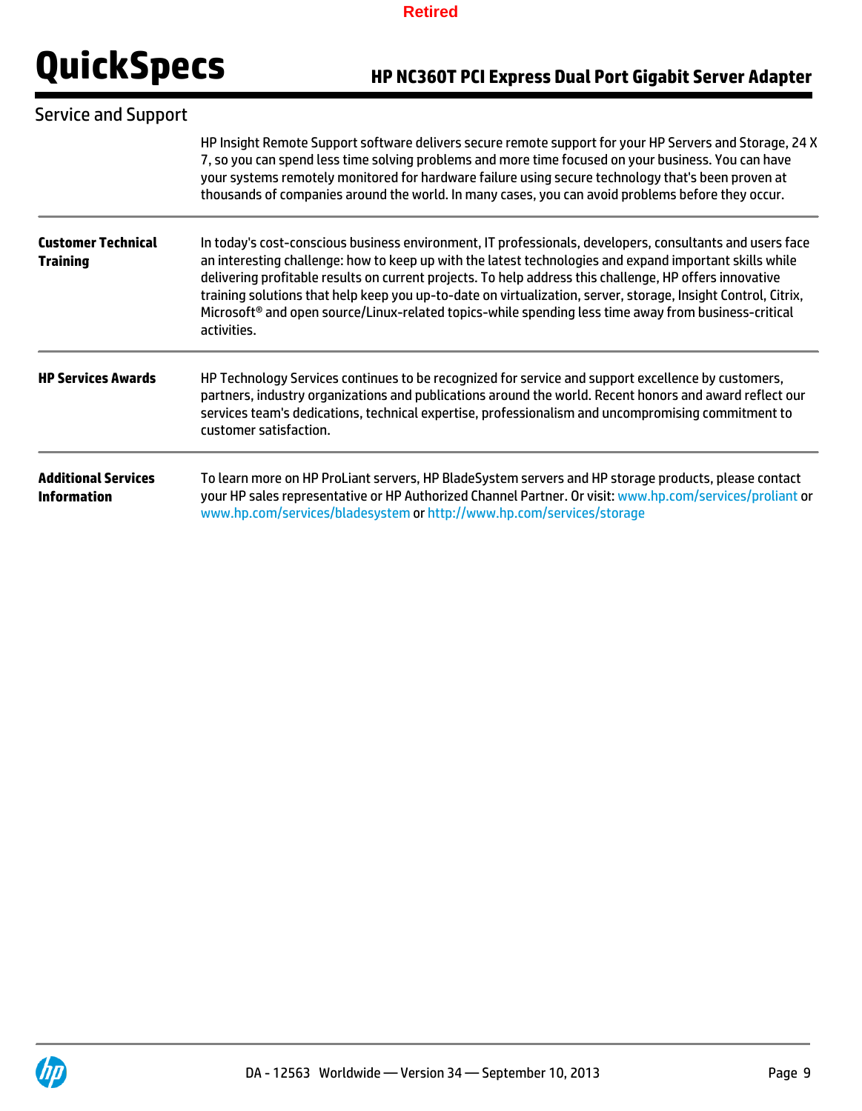# **QuickSpecs HP NC360T PCI Express Dual Port Gigabit Server Adapter**

| <b>Service and Support</b>                       |                                                                                                                                                                                                                                                                                                                                                                                                                                                                                                                                                                                    |  |  |
|--------------------------------------------------|------------------------------------------------------------------------------------------------------------------------------------------------------------------------------------------------------------------------------------------------------------------------------------------------------------------------------------------------------------------------------------------------------------------------------------------------------------------------------------------------------------------------------------------------------------------------------------|--|--|
|                                                  | HP Insight Remote Support software delivers secure remote support for your HP Servers and Storage, 24 X<br>7, so you can spend less time solving problems and more time focused on your business. You can have<br>your systems remotely monitored for hardware failure using secure technology that's been proven at<br>thousands of companies around the world. In many cases, you can avoid problems before they occur.                                                                                                                                                          |  |  |
| <b>Customer Technical</b><br><b>Training</b>     | In today's cost-conscious business environment, IT professionals, developers, consultants and users face<br>an interesting challenge: how to keep up with the latest technologies and expand important skills while<br>delivering profitable results on current projects. To help address this challenge, HP offers innovative<br>training solutions that help keep you up-to-date on virtualization, server, storage, Insight Control, Citrix,<br>Microsoft <sup>®</sup> and open source/Linux-related topics-while spending less time away from business-critical<br>activities. |  |  |
| <b>HP Services Awards</b>                        | HP Technology Services continues to be recognized for service and support excellence by customers,<br>partners, industry organizations and publications around the world. Recent honors and award reflect our<br>services team's dedications, technical expertise, professionalism and uncompromising commitment to<br>customer satisfaction.                                                                                                                                                                                                                                      |  |  |
| <b>Additional Services</b><br><b>Information</b> | To learn more on HP ProLiant servers, HP BladeSystem servers and HP storage products, please contact<br>your HP sales representative or HP Authorized Channel Partner. Or visit: www.hp.com/services/proliant or<br>www.hp.com/services/bladesystem or http://www.hp.com/services/storage                                                                                                                                                                                                                                                                                          |  |  |

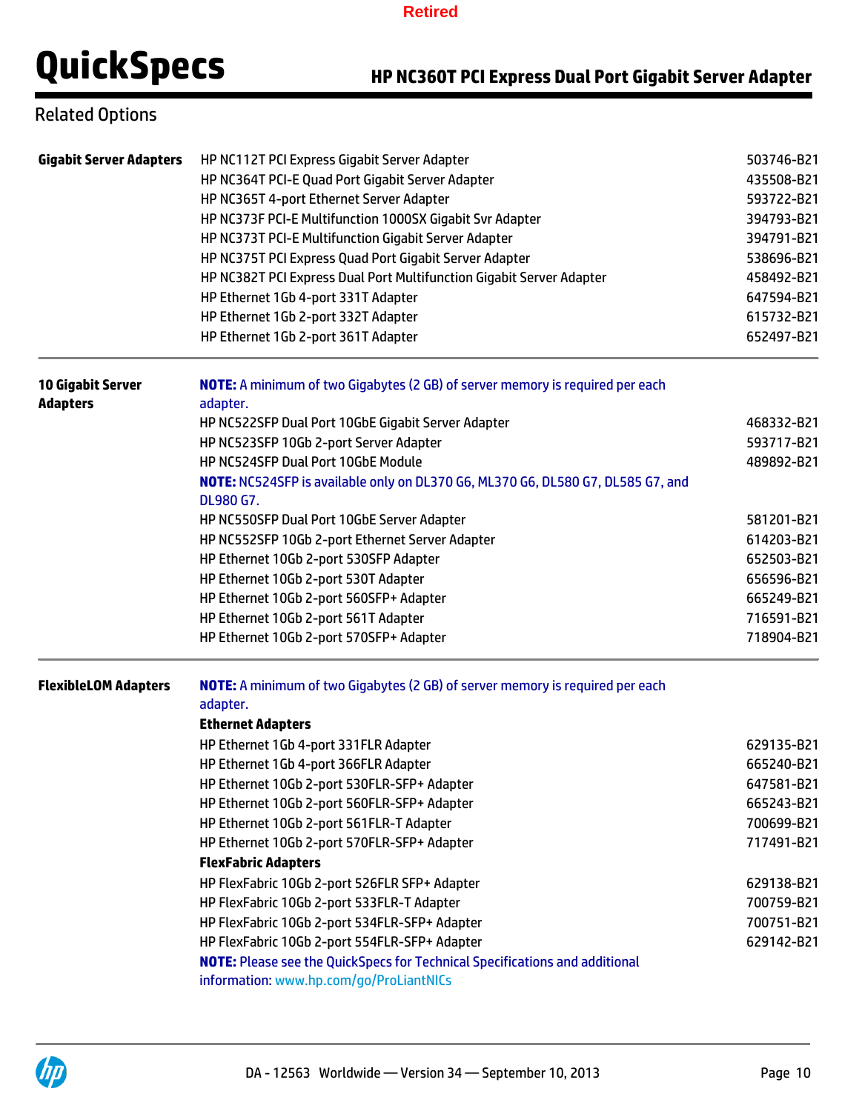# **QuickSpecs HP NC360T PCI Express Dual Port Gigabit Server Adapter**

# Related Options

| <b>Gigabit Server Adapters</b> | HP NC112T PCI Express Gigabit Server Adapter                                                 | 503746-B21                             |  |  |
|--------------------------------|----------------------------------------------------------------------------------------------|----------------------------------------|--|--|
|                                | HP NC364T PCI-E Quad Port Gigabit Server Adapter                                             | 435508-B21                             |  |  |
|                                | HP NC365T 4-port Ethernet Server Adapter                                                     | 593722-B21<br>394793-B21<br>394791-B21 |  |  |
|                                | HP NC373F PCI-E Multifunction 1000SX Gigabit Svr Adapter                                     |                                        |  |  |
|                                | HP NC373T PCI-E Multifunction Gigabit Server Adapter                                         |                                        |  |  |
|                                | HP NC375T PCI Express Quad Port Gigabit Server Adapter                                       | 538696-B21                             |  |  |
|                                | HP NC382T PCI Express Dual Port Multifunction Gigabit Server Adapter                         | 458492-B21                             |  |  |
|                                | HP Ethernet 1Gb 4-port 331T Adapter                                                          | 647594-B21                             |  |  |
|                                | HP Ethernet 1Gb 2-port 332T Adapter                                                          | 615732-B21                             |  |  |
|                                | HP Ethernet 1Gb 2-port 361T Adapter                                                          | 652497-B21                             |  |  |
| <b>10 Gigabit Server</b>       | <b>NOTE:</b> A minimum of two Gigabytes (2 GB) of server memory is required per each         |                                        |  |  |
| <b>Adapters</b>                | adapter.                                                                                     |                                        |  |  |
|                                | HP NC522SFP Dual Port 10GbE Gigabit Server Adapter                                           | 468332-B21                             |  |  |
|                                | HP NC523SFP 10Gb 2-port Server Adapter                                                       | 593717-B21                             |  |  |
|                                | HP NC524SFP Dual Port 10GbE Module                                                           | 489892-B21                             |  |  |
|                                | NOTE: NC524SFP is available only on DL370 G6, ML370 G6, DL580 G7, DL585 G7, and<br>DL980 G7. |                                        |  |  |
|                                | HP NC550SFP Dual Port 10GbE Server Adapter                                                   | 581201-B21                             |  |  |
|                                | HP NC552SFP 10Gb 2-port Ethernet Server Adapter                                              | 614203-B21                             |  |  |
|                                | HP Ethernet 10Gb 2-port 530SFP Adapter                                                       | 652503-B21                             |  |  |
|                                | HP Ethernet 10Gb 2-port 530T Adapter                                                         | 656596-B21                             |  |  |
|                                | HP Ethernet 10Gb 2-port 560SFP+ Adapter                                                      | 665249-B21                             |  |  |
|                                | HP Ethernet 10Gb 2-port 561T Adapter                                                         | 716591-B21                             |  |  |
|                                | HP Ethernet 10Gb 2-port 570SFP+ Adapter                                                      | 718904-B21                             |  |  |
| <b>FlexibleLOM Adapters</b>    | NOTE: A minimum of two Gigabytes (2 GB) of server memory is required per each<br>adapter.    |                                        |  |  |
|                                | <b>Ethernet Adapters</b>                                                                     |                                        |  |  |
|                                | HP Ethernet 1Gb 4-port 331FLR Adapter                                                        | 629135-B21                             |  |  |
|                                | HP Ethernet 1Gb 4-port 366FLR Adapter                                                        | 665240-B21                             |  |  |
|                                | HP Ethernet 10Gb 2-port 530FLR-SFP+ Adapter                                                  | 647581-B21                             |  |  |
|                                | HP Ethernet 10Gb 2-port 560FLR-SFP+ Adapter                                                  | 665243-B21                             |  |  |
|                                | HP Ethernet 10Gb 2-port 561FLR-T Adapter                                                     | 700699-B21                             |  |  |
|                                | HP Ethernet 10Gb 2-port 570FLR-SFP+ Adapter                                                  | 717491-B21                             |  |  |
|                                | <b>FlexFabric Adapters</b>                                                                   |                                        |  |  |
|                                | HP FlexFabric 10Gb 2-port 526FLR SFP+ Adapter                                                | 629138-B21                             |  |  |
|                                | HP FlexFabric 10Gb 2-port 533FLR-T Adapter                                                   | 700759-B21                             |  |  |
|                                | HP FlexFabric 10Gb 2-port 534FLR-SFP+ Adapter                                                | 700751-B21                             |  |  |
|                                | HP FlexFabric 10Gb 2-port 554FLR-SFP+ Adapter                                                | 629142-B21                             |  |  |
|                                | <b>NOTE:</b> Please see the QuickSpecs for Technical Specifications and additional           |                                        |  |  |
|                                | information: www.hp.com/go/ProLiantNICs                                                      |                                        |  |  |

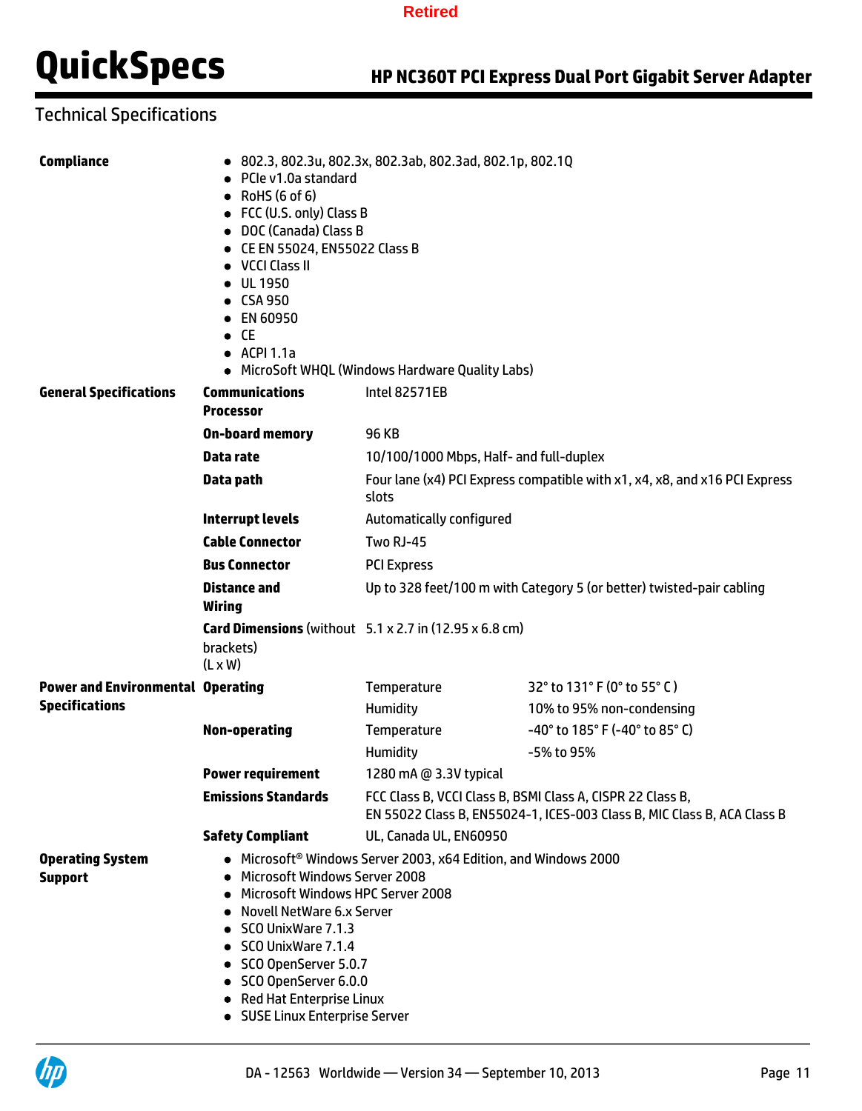# **QuickSpecs HP NC360T PCI Express Dual Port Gigabit Server Adapter**

# Technical Specifications

| <b>Compliance</b>                         | • 802.3, 802.3u, 802.3x, 802.3ab, 802.3ad, 802.1p, 802.1Q<br>• PCIe v1.0a standard<br>$\bullet$ RoHS (6 of 6)<br>• FCC (U.S. only) Class B<br>• DOC (Canada) Class B<br>• CE EN 55024, EN55022 Class B<br>• VCCI Class II<br>• UL 1950<br>• CSA 950<br>• EN 60950<br>$\bullet$ CE<br>$\bullet$ ACPI 1.1a<br>• MicroSoft WHQL (Windows Hardware Quality Labs) |                                                                                                                                       |                                                                       |  |
|-------------------------------------------|--------------------------------------------------------------------------------------------------------------------------------------------------------------------------------------------------------------------------------------------------------------------------------------------------------------------------------------------------------------|---------------------------------------------------------------------------------------------------------------------------------------|-----------------------------------------------------------------------|--|
| <b>General Specifications</b>             | <b>Communications</b><br><b>Processor</b>                                                                                                                                                                                                                                                                                                                    | <b>Intel 82571EB</b>                                                                                                                  |                                                                       |  |
|                                           | <b>On-board memory</b>                                                                                                                                                                                                                                                                                                                                       | <b>96 KB</b>                                                                                                                          |                                                                       |  |
|                                           | Data rate                                                                                                                                                                                                                                                                                                                                                    | 10/100/1000 Mbps, Half- and full-duplex                                                                                               |                                                                       |  |
|                                           | Data path                                                                                                                                                                                                                                                                                                                                                    | Four lane (x4) PCI Express compatible with x1, x4, x8, and x16 PCI Express<br>slots                                                   |                                                                       |  |
|                                           | <b>Interrupt levels</b>                                                                                                                                                                                                                                                                                                                                      | Automatically configured                                                                                                              |                                                                       |  |
|                                           | <b>Cable Connector</b>                                                                                                                                                                                                                                                                                                                                       | Two RJ-45                                                                                                                             |                                                                       |  |
|                                           | <b>Bus Connector</b>                                                                                                                                                                                                                                                                                                                                         | <b>PCI Express</b>                                                                                                                    |                                                                       |  |
|                                           | <b>Distance and</b><br>Wiring                                                                                                                                                                                                                                                                                                                                | Up to 328 feet/100 m with Category 5 (or better) twisted-pair cabling                                                                 |                                                                       |  |
|                                           | brackets)<br>$(L \times W)$                                                                                                                                                                                                                                                                                                                                  | <b>Card Dimensions</b> (without $5.1 \times 2.7$ in (12.95 $\times$ 6.8 cm)                                                           |                                                                       |  |
| <b>Power and Environmental Operating</b>  |                                                                                                                                                                                                                                                                                                                                                              | Temperature                                                                                                                           | 32° to 131° F (0° to 55° C)                                           |  |
| <b>Specifications</b>                     |                                                                                                                                                                                                                                                                                                                                                              | Humidity                                                                                                                              | 10% to 95% non-condensing                                             |  |
|                                           | <b>Non-operating</b>                                                                                                                                                                                                                                                                                                                                         | Temperature                                                                                                                           | $-40^{\circ}$ to 185 $^{\circ}$ F (-40 $^{\circ}$ to 85 $^{\circ}$ C) |  |
|                                           |                                                                                                                                                                                                                                                                                                                                                              | Humidity                                                                                                                              | -5% to 95%                                                            |  |
|                                           | <b>Power requirement</b>                                                                                                                                                                                                                                                                                                                                     | 1280 mA @ 3.3V typical                                                                                                                |                                                                       |  |
|                                           | <b>Emissions Standards</b>                                                                                                                                                                                                                                                                                                                                   | FCC Class B, VCCI Class B, BSMI Class A, CISPR 22 Class B,<br>EN 55022 Class B, EN55024-1, ICES-003 Class B, MIC Class B, ACA Class B |                                                                       |  |
|                                           | <b>Safety Compliant</b>                                                                                                                                                                                                                                                                                                                                      | UL, Canada UL, EN60950                                                                                                                |                                                                       |  |
| <b>Operating System</b><br><b>Support</b> | • Microsoft <sup>®</sup> Windows Server 2003, x64 Edition, and Windows 2000<br>• Microsoft Windows Server 2008<br>• Microsoft Windows HPC Server 2008<br>• Novell NetWare 6.x Server<br>• SCO UnixWare 7.1.3<br>• SCO UnixWare 7.1.4<br>• SCO OpenServer 5.0.7<br>• SCO OpenServer 6.0.0<br>• Red Hat Enterprise Linux<br>• SUSE Linux Enterprise Server     |                                                                                                                                       |                                                                       |  |